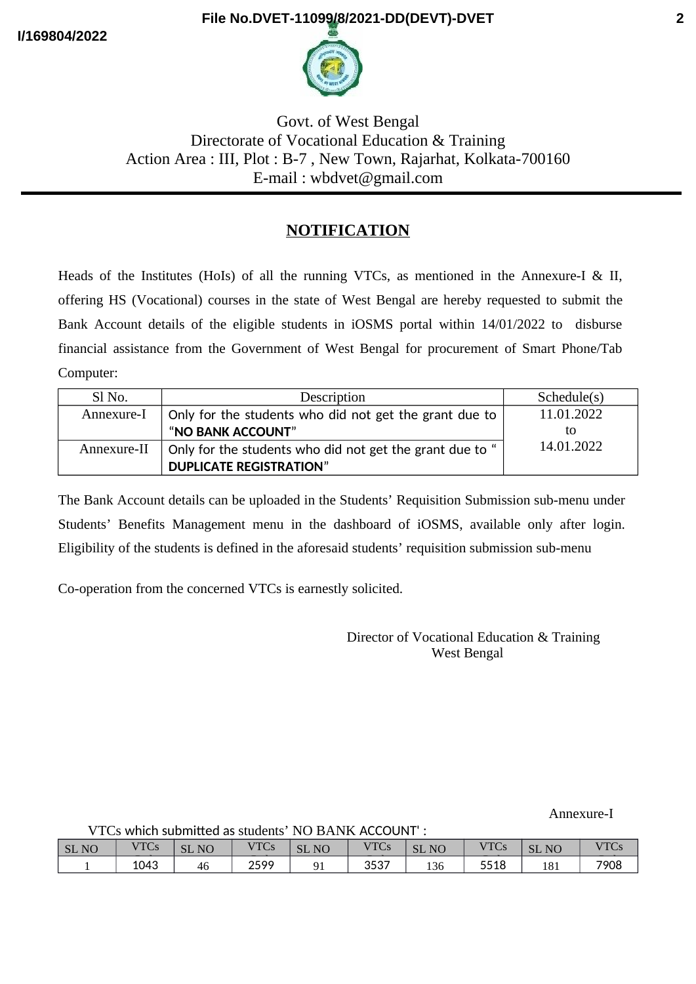**I/169804/2022**

## **File No.DVET-11099/8/2021-DD(DEVT)-DVET**



Govt. of West Bengal Directorate of Vocational Education & Training Action Area : III, Plot : B-7 , New Town, Rajarhat, Kolkata-700160 E-mail : wbdvet@gmail.com

## **NOTIFICATION**

Heads of the Institutes (HoIs) of all the running VTCs, as mentioned in the Annexure-I & II, offering HS (Vocational) courses in the state of West Bengal are hereby requested to submit the Bank Account details of the eligible students in iOSMS portal within 14/01/2022 to disburse financial assistance from the Government of West Bengal for procurement of Smart Phone/Tab Computer:

| Sl No.      | Description                                              | Schedule(s) |
|-------------|----------------------------------------------------------|-------------|
| Annexure-I  | Only for the students who did not get the grant due to   | 11.01.2022  |
|             | "NO BANK ACCOUNT"                                        | tΟ          |
| Annexure-II | Only for the students who did not get the grant due to " | 14.01.2022  |
|             | <b>DUPLICATE REGISTRATION"</b>                           |             |

The Bank Account details can be uploaded in the Students' Requisition Submission sub-menu under Students' Benefits Management menu in the dashboard of iOSMS, available only after login. Eligibility of the students is defined in the aforesaid students' requisition submission sub-menu

Co-operation from the concerned VTCs is earnestly solicited.

 Director of Vocational Education & Training West Bengal

Annexure-I

VTCs which submited as students' NO BANK ACCOUNT' :

| ___          |      |                        | ----------  | __                               |             |                              |      |                      |                     |
|--------------|------|------------------------|-------------|----------------------------------|-------------|------------------------------|------|----------------------|---------------------|
| <b>SL NO</b> | VTCs | <b>SL</b><br><b>NO</b> | <b>VTCs</b> | N <sub>O</sub><br>$\Gamma$<br>בכ | <b>VTCs</b> | <b>SL</b><br>NO <sub>1</sub> | VTCs | N <sub>O</sub><br>эL | $\sqrt{2}$<br>1 U D |
|              | 1043 | $\epsilon$<br>-46      | 2599        | 91                               | 3537        | 136                          | 5518 | 181                  | 7908                |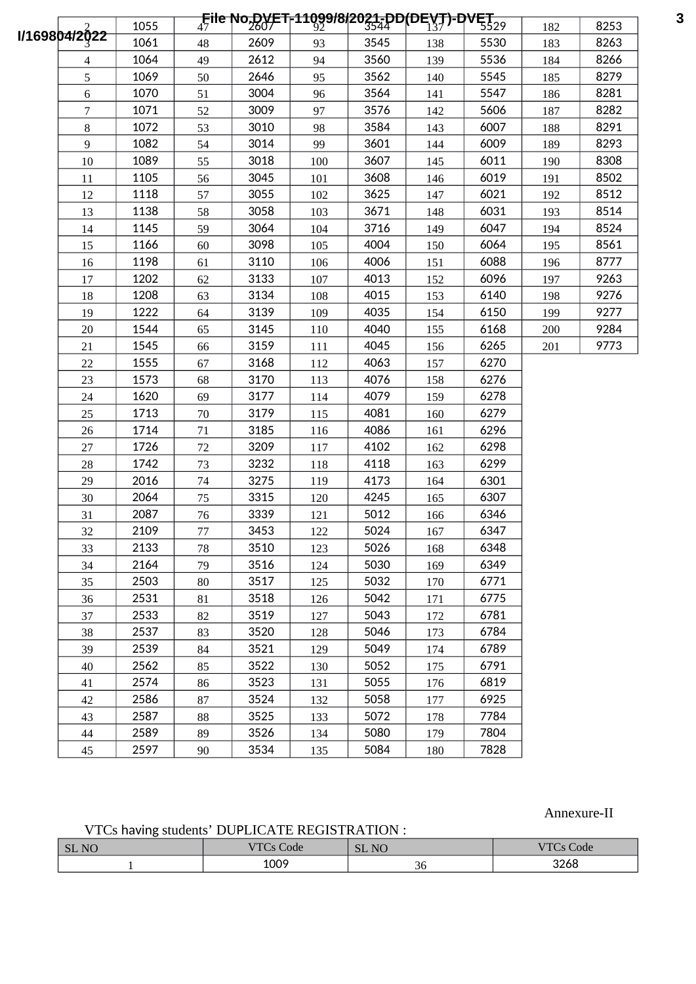|                             |                | 1055 |    |      |     |      | <b>File No.DVET-11099/8/20<del>21-DD</del>(DEVT)-DVET</b><br><sup>17</sup> |      | 182 | 8253 |
|-----------------------------|----------------|------|----|------|-----|------|----------------------------------------------------------------------------|------|-----|------|
| I/1698 <mark>04/2022</mark> |                | 1061 | 48 | 2609 | 93  | 3545 | 138                                                                        | 5530 | 183 | 8263 |
|                             | 4              | 1064 | 49 | 2612 | 94  | 3560 | 139                                                                        | 5536 | 184 | 8266 |
|                             | 5              | 1069 | 50 | 2646 | 95  | 3562 | 140                                                                        | 5545 | 185 | 8279 |
|                             | 6              | 1070 | 51 | 3004 | 96  | 3564 | 141                                                                        | 5547 | 186 | 8281 |
|                             | $\overline{7}$ | 1071 | 52 | 3009 | 97  | 3576 | 142                                                                        | 5606 | 187 | 8282 |
|                             | $\, 8$         | 1072 | 53 | 3010 | 98  | 3584 | 143                                                                        | 6007 | 188 | 8291 |
|                             | 9              | 1082 | 54 | 3014 | 99  | 3601 | 144                                                                        | 6009 | 189 | 8293 |
|                             | 10             | 1089 | 55 | 3018 | 100 | 3607 | 145                                                                        | 6011 | 190 | 8308 |
|                             | 11             | 1105 | 56 | 3045 | 101 | 3608 | 146                                                                        | 6019 | 191 | 8502 |
|                             | 12             | 1118 | 57 | 3055 | 102 | 3625 | 147                                                                        | 6021 | 192 | 8512 |
|                             | 13             | 1138 | 58 | 3058 | 103 | 3671 | 148                                                                        | 6031 | 193 | 8514 |
|                             | 14             | 1145 | 59 | 3064 | 104 | 3716 | 149                                                                        | 6047 | 194 | 8524 |
|                             | 15             | 1166 | 60 | 3098 | 105 | 4004 | 150                                                                        | 6064 | 195 | 8561 |
|                             | 16             | 1198 | 61 | 3110 | 106 | 4006 | 151                                                                        | 6088 | 196 | 8777 |
|                             | 17             | 1202 | 62 | 3133 | 107 | 4013 | 152                                                                        | 6096 | 197 | 9263 |
|                             | 18             | 1208 | 63 | 3134 | 108 | 4015 | 153                                                                        | 6140 | 198 | 9276 |
|                             | 19             | 1222 | 64 | 3139 | 109 | 4035 | 154                                                                        | 6150 | 199 | 9277 |
|                             | 20             | 1544 | 65 | 3145 | 110 | 4040 | 155                                                                        | 6168 | 200 | 9284 |
|                             | 21             | 1545 | 66 | 3159 | 111 | 4045 | 156                                                                        | 6265 | 201 | 9773 |
|                             | 22             | 1555 | 67 | 3168 | 112 | 4063 | 157                                                                        | 6270 |     |      |
|                             | 23             | 1573 | 68 | 3170 | 113 | 4076 | 158                                                                        | 6276 |     |      |
|                             | 24             | 1620 | 69 | 3177 | 114 | 4079 | 159                                                                        | 6278 |     |      |
|                             | 25             | 1713 | 70 | 3179 | 115 | 4081 | 160                                                                        | 6279 |     |      |
|                             | 26             | 1714 | 71 | 3185 | 116 | 4086 | 161                                                                        | 6296 |     |      |
|                             | 27             | 1726 | 72 | 3209 | 117 | 4102 | 162                                                                        | 6298 |     |      |
|                             | 28             | 1742 | 73 | 3232 | 118 | 4118 | 163                                                                        | 6299 |     |      |
|                             | 29             | 2016 | 74 | 3275 | 119 | 4173 | 164                                                                        | 6301 |     |      |
|                             | 30             | 2064 | 75 | 3315 | 120 | 4245 | 165                                                                        | 6307 |     |      |
|                             | 31             | 2087 | 76 | 3339 | 121 | 5012 | 166                                                                        | 6346 |     |      |
|                             | 32             | 2109 | 77 | 3453 | 122 | 5024 | 167                                                                        | 6347 |     |      |
|                             | 33             | 2133 | 78 | 3510 | 123 | 5026 | 168                                                                        | 6348 |     |      |
|                             | 34             | 2164 | 79 | 3516 | 124 | 5030 | 169                                                                        | 6349 |     |      |
|                             | 35             | 2503 | 80 | 3517 | 125 | 5032 | 170                                                                        | 6771 |     |      |
|                             | 36             | 2531 | 81 | 3518 | 126 | 5042 | 171                                                                        | 6775 |     |      |
|                             | 37             | 2533 | 82 | 3519 | 127 | 5043 | 172                                                                        | 6781 |     |      |
|                             | 38             | 2537 | 83 | 3520 | 128 | 5046 | 173                                                                        | 6784 |     |      |
|                             | 39             | 2539 | 84 | 3521 | 129 | 5049 | 174                                                                        | 6789 |     |      |
|                             | 40             | 2562 | 85 | 3522 | 130 | 5052 | 175                                                                        | 6791 |     |      |
|                             | 41             | 2574 | 86 | 3523 | 131 | 5055 | 176                                                                        | 6819 |     |      |
|                             | 42             | 2586 | 87 | 3524 | 132 | 5058 | 177                                                                        | 6925 |     |      |
|                             | 43             | 2587 | 88 | 3525 | 133 | 5072 | 178                                                                        | 7784 |     |      |
|                             | 44             | 2589 | 89 | 3526 | 134 | 5080 | 179                                                                        | 7804 |     |      |
|                             | 45             | 2597 | 90 | 3534 | 135 | 5084 | 180                                                                        | 7828 |     |      |

## Annexure-II

VTCs having students' DUPLICATE REGISTRATION :

| N <sub>C</sub><br><b>SL</b> | $\overline{\phantom{0}}$<br>$T_{\rm T}$<br>Code | <b>SL NO</b><br>$\Gamma$ | $T$ $T$ $T$ $T$<br>Code |  |
|-----------------------------|-------------------------------------------------|--------------------------|-------------------------|--|
|                             | 1009                                            | $\Omega$<br>კხ           | 3268                    |  |